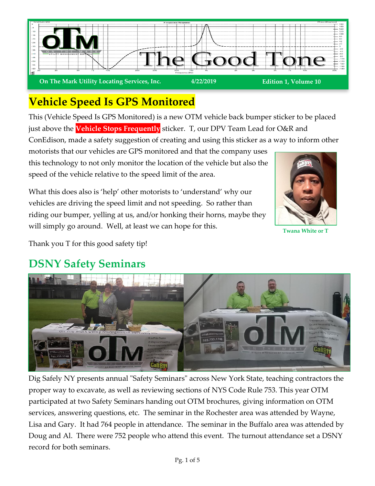

# **Vehicle Speed Is GPS Monitored**

This (Vehicle Speed Is GPS Monitored) is a new OTM vehicle back bumper sticker to be placed just above the **Vehicle Stops Frequently** sticker. T, our DPV Team Lead for O&R and

ConEdison, made a safety suggestion of creating and using this sticker as a way to inform other motorists that our vehicles are GPS monitored and that the company uses this technology to not only monitor the location of the vehicle but also the speed of the vehicle relative to the speed limit of the area.

What this does also is 'help' other motorists to 'understand' why our vehicles are driving the speed limit and not speeding. So rather than riding our bumper, yelling at us, and/or honking their horns, maybe they will simply go around. Well, at least we can hope for this.



**Twana White or T**

Thank you T for this good safety tip!

#### **DSNY Safety Seminars**



Dig Safely NY presents annual "Safety Seminars" across New York State, teaching contractors the proper way to excavate, as well as reviewing sections of NYS Code Rule 753. This year OTM participated at two Safety Seminars handing out OTM brochures, giving information on OTM services, answering questions, etc. The seminar in the Rochester area was attended by Wayne, Lisa and Gary. It had 764 people in attendance. The seminar in the Buffalo area was attended by Doug and Al. There were 752 people who attend this event. The turnout attendance set a DSNY record for both seminars.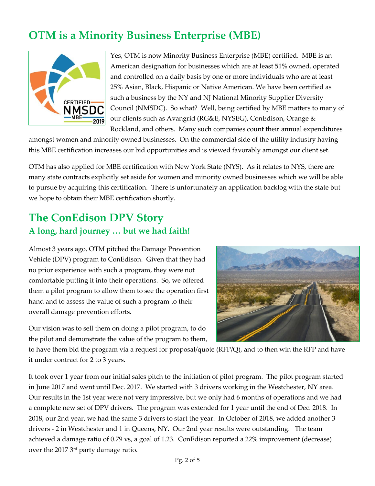## **OTM is a Minority Business Enterprise (MBE)**



Yes, OTM is now Minority Business Enterprise (MBE) certified. MBE is an American designation for businesses which are at least 51% owned, operated and controlled on a daily basis by one or more individuals who are at least 25% Asian, Black, Hispanic or Native American. We have been certified as such a business by the NY and NJ National Minority Supplier Diversity Council (NMSDC). So what? Well, being certified by MBE matters to many of our clients such as Avangrid (RG&E, NYSEG), ConEdison, Orange & Rockland, and others. Many such companies count their annual expenditures

amongst women and minority owned businesses. On the commercial side of the utility industry having this MBE certification increases our bid opportunities and is viewed favorably amongst our client set.

OTM has also applied for MBE certification with New York State (NYS). As it relates to NYS, there are many state contracts explicitly set aside for women and minority owned businesses which we will be able to pursue by acquiring this certification. There is unfortunately an application backlog with the state but we hope to obtain their MBE certification shortly.

### **The ConEdison DPV Story A long, hard journey … but we had faith!**

Almost 3 years ago, OTM pitched the Damage Prevention Vehicle (DPV) program to ConEdison. Given that they had no prior experience with such a program, they were not comfortable putting it into their operations. So, we offered them a pilot program to allow them to see the operation first hand and to assess the value of such a program to their overall damage prevention efforts.

Our vision was to sell them on doing a pilot program, to do the pilot and demonstrate the value of the program to them,



to have them bid the program via a request for proposal/quote (RFP/Q), and to then win the RFP and have it under contract for 2 to 3 years.

It took over 1 year from our initial sales pitch to the initiation of pilot program. The pilot program started in June 2017 and went until Dec. 2017. We started with 3 drivers working in the Westchester, NY area. Our results in the 1st year were not very impressive, but we only had 6 months of operations and we had a complete new set of DPV drivers. The program was extended for 1 year until the end of Dec. 2018. In 2018, our 2nd year, we had the same 3 drivers to start the year. In October of 2018, we added another 3 drivers - 2 in Westchester and 1 in Queens, NY. Our 2nd year results were outstanding. The team achieved a damage ratio of 0.79 vs, a goal of 1.23. ConEdison reported a 22% improvement (decrease) over the 2017 3 rd party damage ratio.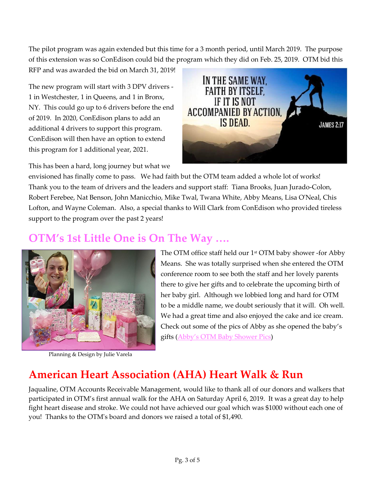The pilot program was again extended but this time for a 3 month period, until March 2019. The purpose of this extension was so ConEdison could bid the program which they did on Feb. 25, 2019. OTM bid this

RFP and was awarded the bid on March 31, 2019!

The new program will start with 3 DPV drivers - 1 in Westchester, 1 in Queens, and 1 in Bronx, NY. This could go up to 6 drivers before the end of 2019. In 2020, ConEdison plans to add an additional 4 drivers to support this program. ConEdison will then have an option to extend this program for 1 additional year, 2021.

This has been a hard, long journey but what we



envisioned has finally come to pass. We had faith but the OTM team added a whole lot of works! Thank you to the team of drivers and the leaders and support staff: Tiana Brooks, Juan Jurado-Colon, Robert Ferebee, Nat Benson, John Manicchio, Mike Twal, Twana White, Abby Means, Lisa O'Neal, Chis Lofton, and Wayne Coleman. Also, a special thanks to Will Clark from ConEdison who provided tireless support to the program over the past 2 years!

### **OTM's 1st Little One is On The Way ….**



Planning & Design by Julie Varela

The OTM office staff held our 1<sup>st</sup> OTM baby shower -for Abby Means. She was totally surprised when she entered the OTM conference room to see both the staff and her lovely parents there to give her gifts and to celebrate the upcoming birth of her baby girl. Although we lobbied long and hard for OTM to be a middle name, we doubt seriously that it will. Oh well. We had a great time and also enjoyed the cake and ice cream. Check out some of the pics of Abby as she opened the baby's gifts ([Abby's OTM Baby Shower Pics](https://www.otmlocating.com/abby-otm-baby-shower))

# **American Heart Association (AHA) Heart Walk & Run**

Jaqualine, OTM Accounts Receivable Management, would like to thank all of our donors and walkers that participated in OTM's first annual walk for the AHA on Saturday April 6, 2019. It was a great day to help fight heart disease and stroke. We could not have achieved our goal which was \$1000 without each one of you! Thanks to the OTM's board and donors we raised a total of \$1,490.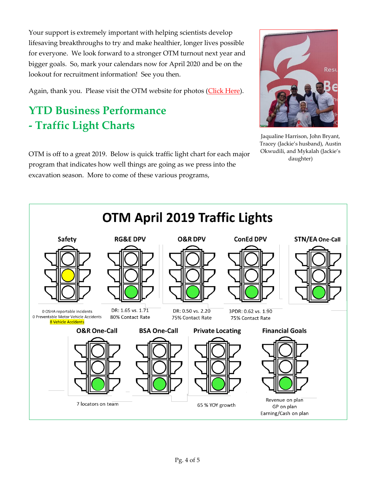Your support is extremely important with helping scientists develop lifesaving breakthroughs to try and make healthier, longer lives possible for everyone. We look forward to a stronger OTM turnout next year and bigger goals. So, mark your calendars now for April 2020 and be on the lookout for recruitment information! See you then.

Again, thank you. Please visit the OTM website for photos [\(Click Here\)](https://www.otmlocating.com/2019-aha-heart-walk-run).

# **YTD Business Performance - Traffic Light Charts**



Jaqualine Harrison, John Bryant, Tracey (Jackie's husband), Austin Okwudili, and Mykalah (Jackie's daughter)

OTM is off to a great 2019. Below is quick traffic light chart for each major program that indicates how well things are going as we press into the excavation season. More to come of these various programs,